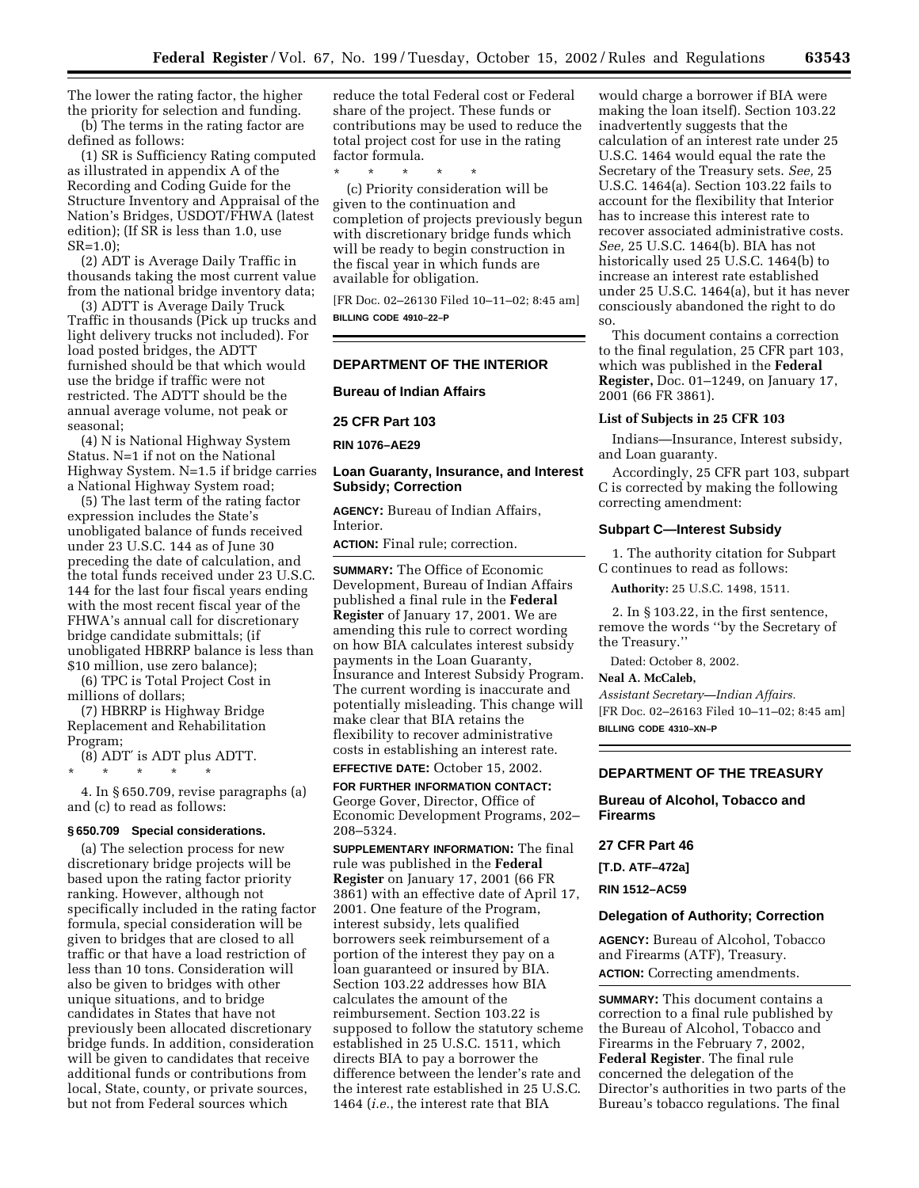The lower the rating factor, the higher the priority for selection and funding. (b) The terms in the rating factor are

defined as follows:

(1) SR is Sufficiency Rating computed as illustrated in appendix A of the Recording and Coding Guide for the Structure Inventory and Appraisal of the Nation's Bridges, USDOT/FHWA (latest edition); (If SR is less than 1.0, use SR=1.0);

(2) ADT is Average Daily Traffic in thousands taking the most current value from the national bridge inventory data;

(3) ADTT is Average Daily Truck Traffic in thousands (Pick up trucks and light delivery trucks not included). For load posted bridges, the ADTT furnished should be that which would use the bridge if traffic were not restricted. The ADTT should be the annual average volume, not peak or seasonal;

(4) N is National Highway System Status. N=1 if not on the National Highway System. N=1.5 if bridge carries a National Highway System road;

(5) The last term of the rating factor expression includes the State's unobligated balance of funds received under 23 U.S.C. 144 as of June 30 preceding the date of calculation, and the total funds received under 23 U.S.C. 144 for the last four fiscal years ending with the most recent fiscal year of the FHWA's annual call for discretionary bridge candidate submittals; (if unobligated HBRRP balance is less than \$10 million, use zero balance);

(6) TPC is Total Project Cost in millions of dollars;

(7) HBRRP is Highway Bridge Replacement and Rehabilitation Program;

(8) ADT′ is ADT plus ADTT.

\* \* \* \* \*

4. In § 650.709, revise paragraphs (a) and (c) to read as follows:

## **§ 650.709 Special considerations.**

(a) The selection process for new discretionary bridge projects will be based upon the rating factor priority ranking. However, although not specifically included in the rating factor formula, special consideration will be given to bridges that are closed to all traffic or that have a load restriction of less than 10 tons. Consideration will also be given to bridges with other unique situations, and to bridge candidates in States that have not previously been allocated discretionary bridge funds. In addition, consideration will be given to candidates that receive additional funds or contributions from local, State, county, or private sources, but not from Federal sources which

reduce the total Federal cost or Federal share of the project. These funds or contributions may be used to reduce the total project cost for use in the rating factor formula.

\* \* \* \* \*

(c) Priority consideration will be given to the continuation and completion of projects previously begun with discretionary bridge funds which will be ready to begin construction in the fiscal year in which funds are available for obligation.

[FR Doc. 02–26130 Filed 10–11–02; 8:45 am] **BILLING CODE 4910–22–P**

# **DEPARTMENT OF THE INTERIOR**

**Bureau of Indian Affairs** 

# **25 CFR Part 103**

**RIN 1076–AE29** 

## **Loan Guaranty, Insurance, and Interest Subsidy; Correction**

**AGENCY:** Bureau of Indian Affairs, Interior.

**ACTION:** Final rule; correction.

**SUMMARY:** The Office of Economic Development, Bureau of Indian Affairs published a final rule in the **Federal Register** of January 17, 2001. We are amending this rule to correct wording on how BIA calculates interest subsidy payments in the Loan Guaranty, Insurance and Interest Subsidy Program. The current wording is inaccurate and potentially misleading. This change will make clear that BIA retains the flexibility to recover administrative costs in establishing an interest rate.

# **EFFECTIVE DATE:** October 15, 2002.

**FOR FURTHER INFORMATION CONTACT:** George Gover, Director, Office of Economic Development Programs, 202– 208–5324.

**SUPPLEMENTARY INFORMATION:** The final rule was published in the **Federal Register** on January 17, 2001 (66 FR 3861) with an effective date of April 17, 2001. One feature of the Program, interest subsidy, lets qualified borrowers seek reimbursement of a portion of the interest they pay on a loan guaranteed or insured by BIA. Section 103.22 addresses how BIA calculates the amount of the reimbursement. Section 103.22 is supposed to follow the statutory scheme established in 25 U.S.C. 1511, which directs BIA to pay a borrower the difference between the lender's rate and the interest rate established in 25 U.S.C. 1464 (*i.e.*, the interest rate that BIA

would charge a borrower if BIA were making the loan itself). Section 103.22 inadvertently suggests that the calculation of an interest rate under 25 U.S.C. 1464 would equal the rate the Secretary of the Treasury sets. *See,* 25 U.S.C. 1464(a). Section 103.22 fails to account for the flexibility that Interior has to increase this interest rate to recover associated administrative costs. *See,* 25 U.S.C. 1464(b). BIA has not historically used 25 U.S.C. 1464(b) to increase an interest rate established under 25 U.S.C. 1464(a), but it has never consciously abandoned the right to do so.

This document contains a correction to the final regulation, 25 CFR part 103, which was published in the **Federal Register,** Doc. 01–1249, on January 17, 2001 (66 FR 3861).

### **List of Subjects in 25 CFR 103**

Indians—Insurance, Interest subsidy, and Loan guaranty.

Accordingly, 25 CFR part 103, subpart C is corrected by making the following correcting amendment:

#### **Subpart C—Interest Subsidy**

1. The authority citation for Subpart C continues to read as follows:

**Authority:** 25 U.S.C. 1498, 1511.

2. In § 103.22, in the first sentence, remove the words ''by the Secretary of the Treasury.''

Dated: October 8, 2002.

#### **Neal A. McCaleb,**

*Assistant Secretary—Indian Affairs.* [FR Doc. 02–26163 Filed 10–11–02; 8:45 am] **BILLING CODE 4310–XN–P**

# **DEPARTMENT OF THE TREASURY**

**Bureau of Alcohol, Tobacco and Firearms** 

#### **27 CFR Part 46**

**[T.D. ATF–472a]** 

**RIN 1512–AC59** 

### **Delegation of Authority; Correction**

**AGENCY:** Bureau of Alcohol, Tobacco and Firearms (ATF), Treasury. **ACTION:** Correcting amendments.

**SUMMARY:** This document contains a correction to a final rule published by the Bureau of Alcohol, Tobacco and Firearms in the February 7, 2002, **Federal Register**. The final rule concerned the delegation of the Director's authorities in two parts of the Bureau's tobacco regulations. The final